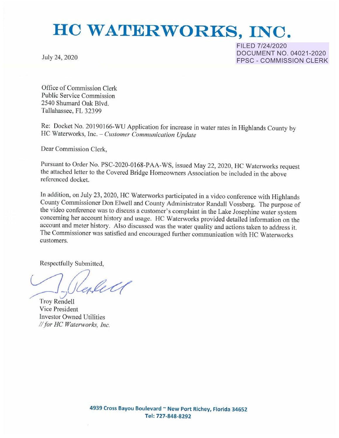## **HO WATERWORKS, INC.**

July 24, 2020

FILED 7/24/2020 DOCUMENT NO. 04021-2020 FPSC - COMMISSION CLERK

Office of Commission Clerk Public Service Commission 2540 Shumard Oak Blvd. Tallahassee, FL 32399

Re: Docket No. 20190166-WU Application for increase in water rates in Highlands County by HC Waterworks Inc. - *Customer Communication Update* 

Dear Commission Clerk,

Pursuant to Order No. PSC-2020-0168-PAA-WS, issued May 22, 2020, HC Waterworks request the attached letter to the Covered Bridge Homeowners Association be included in the above referenced docket.

In addition, on July 23, 2020, HC Waterworks participated in a video conference with Highlands<br>County Commissioner Don Elwell and County Administrator Randall Vossberg. The purpose of<br>the video conference was to discuss a account and meter history. Also discussed was the water quality and actions taken to address it. The Commissioner was satisfied and encouraged further communication with HC Waterwork customers.

Respectfully Submitted,

*~J* 

Troy Rendell Vice President Investor Owned Utilities *I/for HC Waterworks, Inc.*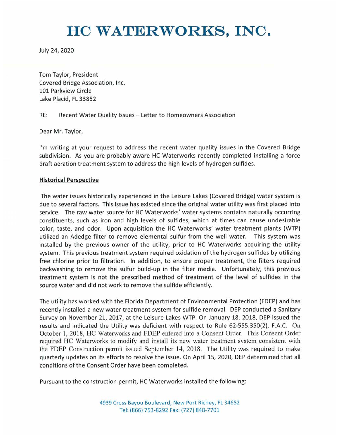## **HO WATERWORKS, INC.**

July 24, 2020

Tom Taylor, President Covered Bridge Association, Inc. 101 Parkview Circle Lake Placid, FL 33852

RE: Recent Water Quality Issues - Letter to Homeowners Association

Dear Mr. Taylor,

I'm writing at your request to address the recent water quality issues in the Covered Bridge subdivision. As you are probably aware HC Waterworks recently completed installing a force draft aeration treatment system to address the high levels of hydrogen sulfides.

## **Historical Perspective**

The water issues historically experienced in the Leisure Lakes (Covered Bridge) water system is due to several factors. This issue has existed since the original water utility was first placed into service. The raw water source for HC Waterworks' water systems contains naturally occurring constituents, such as iron and high levels of sulfides, which at times can cause undesirable color, taste, and odor. Upon acquisition the HC Waterworks' water treatment plants (WTP) utilized an Adedge filter to remove elemental sulfur from the well water. This system was installed by the previous owner of the utility, prior to HC Waterworks acquiring the utility system. This previous treatment system required oxidation of the hydrogen sulfides by utilizing free chlorine prior to filtration. In addition, to ensure proper treatment, the filters required backwashing to remove the sulfur build-up in the filter media. Unfortunately, this previous treatment system is not the prescribed method of treatment of the level of sulfides in the source water and did not work to remove the sulfide efficiently.

The utility has worked with the Florida Department of Environmental Protection (FDEP) and has recently installed a new water treatment system for sulfide removal. DEP conducted a Sanitary Survey on November 21, 2017, at the Leisure Lakes WTP. On January 18, 2018, DEP issued the results and indicated the Utility was deficient with respect to Rule 62-555.350(2), F.A.C. On October 1, 2018, HC Waterworks and FDEP entered into a Consent Order. This Consent Order required HC Waterworks to modify and install its new water treatment system consistent with the FDEP Construction permit issued September 14, 2018. The Utility was required to make quarterly updates on its efforts to resolve the issue. On April 15, 2020, DEP determined that all conditions of the Consent Order have been completed.

Pursuant to the construction permit, HC Waterworks installed the following: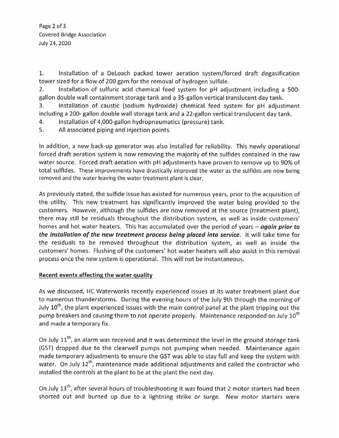Page 2 of 3 Covered Bridge Association July 24, 2020

1. Installation of a Deloach packed tower aeration system/forced draft degasification tower sized for a flow of 200 gpm for the removal of hydrogen sulfide.

2. Installation of sulfuric acid chemical feed system for pH adjustment including a 500 gallon double wall containment storage tank and a 35-gallon vertical translucent day tank.

3. Installation of caustic (sodium hydroxide) chemical feed system for pH adjustment including a 200- gallon double wall storage tank and a 22-gallon vertical translucent day tank.

- 4. Installation of 4,000-gallon hydropneumatics (pressure) tank.
- 5. All associated piping and injection points.

In addition, a new back-up generator was also installed for reliability. This newly operational forced draft aeration system is now removing the majority of the sulfides contained in the raw water source. Forced draft aeration with pH adjustments have proven to remove up to 90% of total sulfides. These improvements have drastically improved the water as the sulfides are now being removed and the water leaving the water treatment plant is clear.

As previously stated, the sulfide issue has existed for numerous years, prior to the acquisition of the utility. This new treatment has significantly improved the water being provided to the customers. However, although the sulfides are now removed at the source (treatment plant), there may still be residuals throughout the distribution system, as well as inside customers' homes and hot water heaters. This has accumulated over the period of years - **again prior to**  *the installation of the new treatment process being* **placed into service.** It will take time for the residuals to be removed throughout the distribution system, as well as inside the customers' homes. Flushing of the customers' hot water heaters will also assist in this removal process once the new system is operational. This will not be instantaneous.

## **Recent events affecting the water quality**

As we discussed, HC Waterworks recently experienced issues at its water treatment plant due to numerous thunderstorms. During the evening hours of the July 9th through the morning of July  $10<sup>th</sup>$ , the plant experienced issues with the main control panel at the plant tripping out the pump breakers and causing them to not operate properly. Maintenance responded on July 10<sup>th</sup> and made a temporary fix.

On July 11<sup>th</sup>, an alarm was received and it was determined the level in the ground storage tank (GST) dropped due to the clearwell pumps not pumping when needed. Maintenance again made temporary adjustments to ensure the GST was able to stay full and keep the system with water. On July 12<sup>th</sup>, maintenance made additional adjustments and called the contractor who installed the controls at the plant to be at the plant the next day.

On July 13<sup>th</sup>, after several hours of troubleshooting it was found that 2 motor starters had been shorted out and burned up due to a lightning strike or surge. New motor starters were